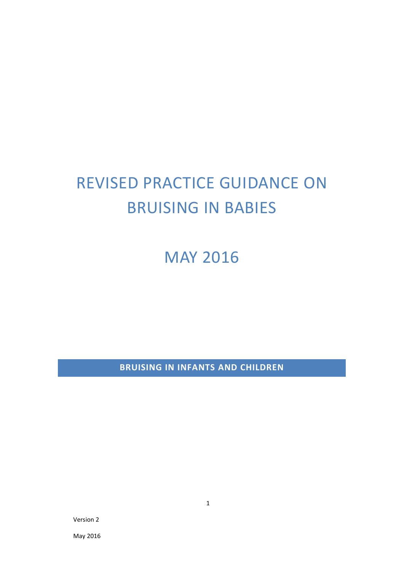# REVISED PRACTICE GUIDANCE ON BRUISING IN BABIES

MAY 2016

**BRUISING IN INFANTS AND CHILDREN**

Version 2

May 2016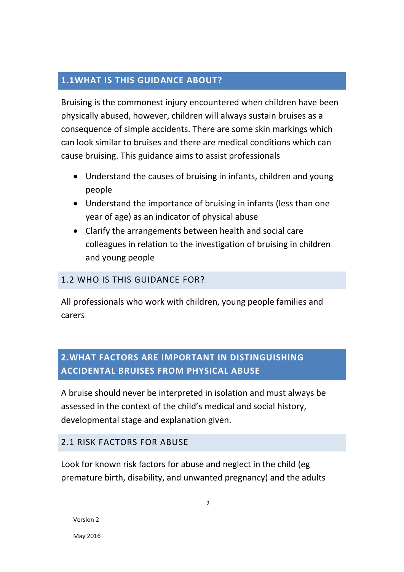## **1.1WHAT IS THIS GUIDANCE ABOUT?**

Bruising is the commonest injury encountered when children have been physically abused, however, children will always sustain bruises as a consequence of simple accidents. There are some skin markings which can look similar to bruises and there are medical conditions which can cause bruising. This guidance aims to assist professionals

- Understand the causes of bruising in infants, children and young people
- Understand the importance of bruising in infants (less than one year of age) as an indicator of physical abuse
- Clarify the arrangements between health and social care colleagues in relation to the investigation of bruising in children and young people

## 1.2 WHO IS THIS GUIDANCE FOR?

All professionals who work with children, young people families and carers

# **2.WHAT FACTORS ARE IMPORTANT IN DISTINGUISHING ACCIDENTAL BRUISES FROM PHYSICAL ABUSE**

A bruise should never be interpreted in isolation and must always be assessed in the context of the child's medical and social history, developmental stage and explanation given.

#### 2.1 RISK FACTORS FOR ABUSE

Look for known risk factors for abuse and neglect in the child (eg premature birth, disability, and unwanted pregnancy) and the adults

May 2016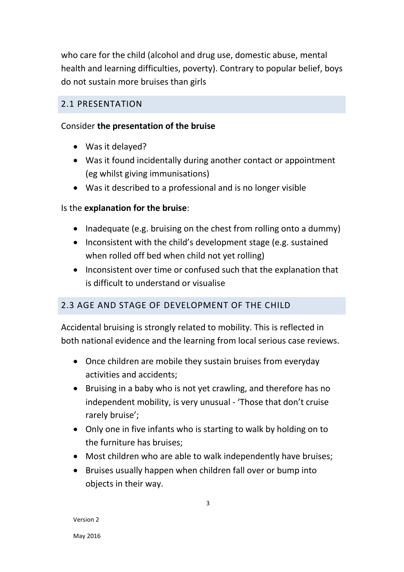who care for the child (alcohol and drug use, domestic abuse, mental health and learning difficulties, poverty). Contrary to popular belief, boys do not sustain more bruises than girls

#### 2.1 PRESENTATION

#### Consider **the presentation of the bruise**

- Was it delayed?
- Was it found incidentally during another contact or appointment (eg whilst giving immunisations)
- Was it described to a professional and is no longer visible

#### Is the **explanation for the bruise**:

- Inadequate (e.g. bruising on the chest from rolling onto a dummy)
- Inconsistent with the child's development stage (e.g. sustained when rolled off bed when child not yet rolling)
- Inconsistent over time or confused such that the explanation that is difficult to understand or visualise

## 2.3 AGE AND STAGE OF DEVELOPMENT OF THE CHILD

Accidental bruising is strongly related to mobility. This is reflected in both national evidence and the learning from local serious case reviews.

- Once children are mobile they sustain bruises from everyday activities and accidents;
- Bruising in a baby who is not yet crawling, and therefore has no independent mobility, is very unusual - 'Those that don't cruise rarely bruise';
- Only one in five infants who is starting to walk by holding on to the furniture has bruises;
- Most children who are able to walk independently have bruises;
- Bruises usually happen when children fall over or bump into objects in their way.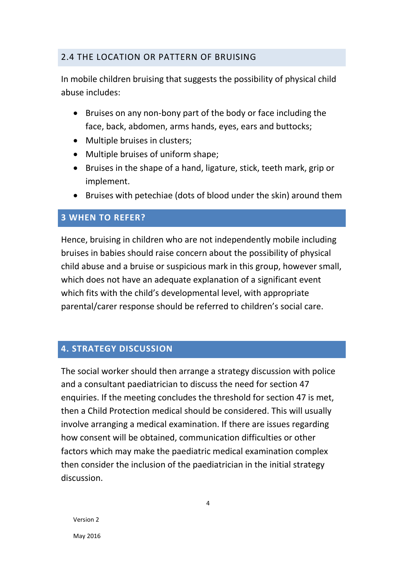#### 2.4 THE LOCATION OR PATTERN OF BRUISING

In mobile children bruising that suggests the possibility of physical child abuse includes:

- Bruises on any non-bony part of the body or face including the face, back, abdomen, arms hands, eyes, ears and buttocks;
- Multiple bruises in clusters;
- Multiple bruises of uniform shape;
- Bruises in the shape of a hand, ligature, stick, teeth mark, grip or implement.
- Bruises with petechiae (dots of blood under the skin) around them

#### **3 WHEN TO REFER?**

Hence, bruising in children who are not independently mobile including bruises in babies should raise concern about the possibility of physical child abuse and a bruise or suspicious mark in this group, however small, which does not have an adequate explanation of a significant event which fits with the child's developmental level, with appropriate parental/carer response should be referred to children's social care.

## **4. STRATEGY DISCUSSION**

The social worker should then arrange a strategy discussion with police and a consultant paediatrician to discuss the need for section 47 enquiries. If the meeting concludes the threshold for section 47 is met, then a Child Protection medical should be considered. This will usually involve arranging a medical examination. If there are issues regarding how consent will be obtained, communication difficulties or other factors which may make the paediatric medical examination complex then consider the inclusion of the paediatrician in the initial strategy discussion.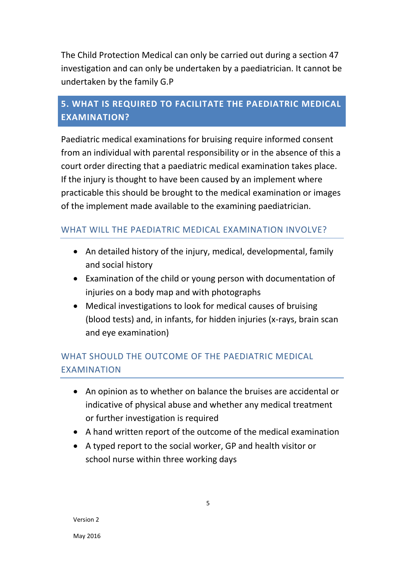The Child Protection Medical can only be carried out during a section 47 investigation and can only be undertaken by a paediatrician. It cannot be undertaken by the family G.P

## **5. WHAT IS REQUIRED TO FACILITATE THE PAEDIATRIC MEDICAL EXAMINATION?**

Paediatric medical examinations for bruising require informed consent from an individual with parental responsibility or in the absence of this a court order directing that a paediatric medical examination takes place. If the injury is thought to have been caused by an implement where practicable this should be brought to the medical examination or images of the implement made available to the examining paediatrician.

## WHAT WILL THE PAEDIATRIC MEDICAL EXAMINATION INVOLVE?

- An detailed history of the injury, medical, developmental, family and social history
- Examination of the child or young person with documentation of injuries on a body map and with photographs
- Medical investigations to look for medical causes of bruising (blood tests) and, in infants, for hidden injuries (x-rays, brain scan and eye examination)

# WHAT SHOULD THE OUTCOME OF THE PAEDIATRIC MEDICAL EXAMINATION

- An opinion as to whether on balance the bruises are accidental or indicative of physical abuse and whether any medical treatment or further investigation is required
- A hand written report of the outcome of the medical examination
- A typed report to the social worker, GP and health visitor or school nurse within three working days